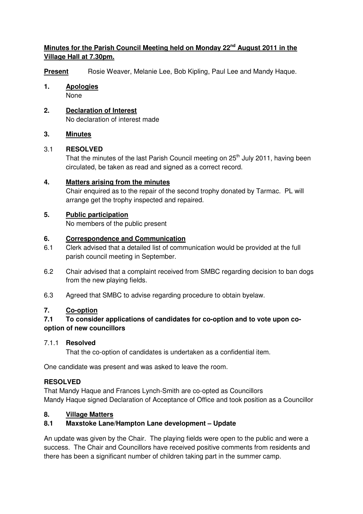# **Minutes for the Parish Council Meeting held on Monday 22nd August 2011 in the Village Hall at 7.30pm.**

**Present** Rosie Weaver, Melanie Lee, Bob Kipling, Paul Lee and Mandy Haque.

- **1. Apologies** None
- **2. Declaration of Interest** No declaration of interest made

## **3. Minutes**

# 3.1 **RESOLVED**

That the minutes of the last Parish Council meeting on 25<sup>th</sup> July 2011, having been circulated, be taken as read and signed as a correct record.

## **4. Matters arising from the minutes**

 Chair enquired as to the repair of the second trophy donated by Tarmac. PL will arrange get the trophy inspected and repaired.

# **5. Public participation**

No members of the public present

## **6. Correspondence and Communication**

- 6.1 Clerk advised that a detailed list of communication would be provided at the full parish council meeting in September.
- 6.2 Chair advised that a complaint received from SMBC regarding decision to ban dogs from the new playing fields.
- 6.3 Agreed that SMBC to advise regarding procedure to obtain byelaw.

# **7. Co-option**

# **7.1 To consider applications of candidates for co-option and to vote upon cooption of new councillors**

### 7.1.1 **Resolved**

That the co-option of candidates is undertaken as a confidential item.

One candidate was present and was asked to leave the room.

# **RESOLVED**

That Mandy Haque and Frances Lynch-Smith are co-opted as Councillors Mandy Haque signed Declaration of Acceptance of Office and took position as a Councillor

# **8. Village Matters**

# **8.1 Maxstoke Lane/Hampton Lane development – Update**

An update was given by the Chair. The playing fields were open to the public and were a success. The Chair and Councillors have received positive comments from residents and there has been a significant number of children taking part in the summer camp.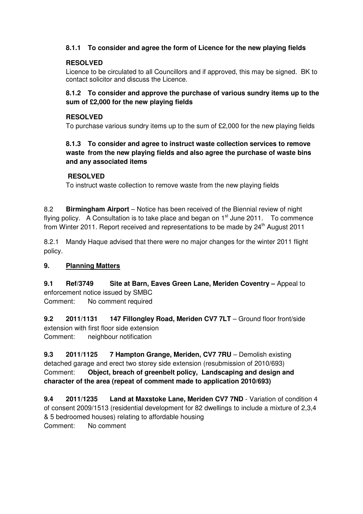## **8.1.1 To consider and agree the form of Licence for the new playing fields**

### **RESOLVED**

Licence to be circulated to all Councillors and if approved, this may be signed. BK to contact solicitor and discuss the Licence.

#### **8.1.2 To consider and approve the purchase of various sundry items up to the sum of £2,000 for the new playing fields**

#### **RESOLVED**

To purchase various sundry items up to the sum of £2,000 for the new playing fields

## **8.1.3 To consider and agree to instruct waste collection services to remove waste from the new playing fields and also agree the purchase of waste bins and any associated items**

#### **RESOLVED**

To instruct waste collection to remove waste from the new playing fields

8.2 **Birmingham Airport** – Notice has been received of the Biennial review of night flying policy. A Consultation is to take place and began on  $1<sup>st</sup>$  June 2011. To commence from Winter 2011. Report received and representations to be made by 24<sup>th</sup> August 2011

8.2.1 Mandy Haque advised that there were no major changes for the winter 2011 flight policy.

### **9. Planning Matters**

**9.1 Ref/3749 Site at Barn, Eaves Green Lane, Meriden Coventry –** Appeal to enforcement notice issued by SMBC Comment: No comment required

**9.2 2011/1131 147 Fillongley Road, Meriden CV7 7LT** – Ground floor front/side extension with first floor side extension Comment: neighbour notification

**9.3 2011/1125 7 Hampton Grange, Meriden, CV7 7RU** – Demolish existing detached garage and erect two storey side extension (resubmission of 2010/693) Comment: **Object, breach of greenbelt policy, Landscaping and design and character of the area (repeat of comment made to application 2010/693)**

**9.4 2011/1235 Land at Maxstoke Lane, Meriden CV7 7ND** - Variation of condition 4 of consent 2009/1513 (residential development for 82 dwellings to include a mixture of 2,3,4 & 5 bedroomed houses) relating to affordable housing Comment: No comment